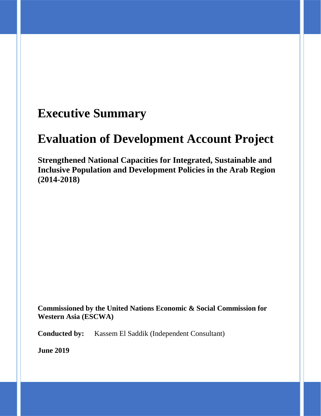## **Executive Summary**

## **Evaluation of Development Account Project**

**Strengthened National Capacities for Integrated, Sustainable and Inclusive Population and Development Policies in the Arab Region (2014-2018)**

**Commissioned by the United Nations Economic & Social Commission for Western Asia (ESCWA)**

**Conducted by:** Kassem El Saddik (Independent Consultant)

**June 2019**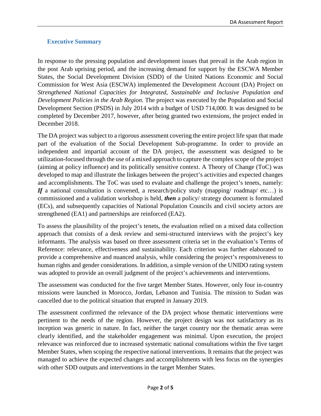## **Executive Summary**

In response to the pressing population and development issues that prevail in the Arab region in the post Arab uprising period, and the increasing demand for support by the ESCWA Member States, the Social Development Division (SDD) of the United Nations Economic and Social Commission for West Asia (ESCWA) implemented the Development Account (DA) Project on *Strengthened National Capacities for Integrated, Sustainable and Inclusive Population and Development Policies in the Arab Region*. The project was executed by the Population and Social Development Section (PSDS) in July 2014 with a budget of USD 714,000. It was designed to be completed by December 2017, however, after being granted two extensions, the project ended in December 2018.

The DA project was subject to a rigorous assessment covering the entire project life span that made part of the evaluation of the Social Development Sub-programme. In order to provide an independent and impartial account of the DA project, the assessment was designed to be utilization-focused through the use of a mixed approach to capture the complex scope of the project (aiming at policy influence) and its politically sensitive context. A Theory of Change (ToC) was developed to map and illustrate the linkages between the project's activities and expected changes and accomplishments. The ToC was used to evaluate and challenge the project's tenets, namely: *If* a national consultation is convened, a research/policy study (mapping/ roadmap/ etc...) is commissioned and a validation workshop is held, *then* a policy/ strategy document is formulated (ECs), and subsequently capacities of National Population Councils and civil society actors are strengthened (EA1) and partnerships are reinforced (EA2).

To assess the plausibility of the project's tenets, the evaluation relied on a mixed data collection approach that consists of a desk review and semi-structured interviews with the project's key informants. The analysis was based on three assessment criteria set in the evaluation's Terms of Reference: relevance, effectiveness and sustainability. Each criterion was further elaborated to provide a comprehensive and nuanced analysis, while considering the project's responsiveness to human rights and gender considerations. In addition, a simple version of the UNIDO rating system was adopted to provide an overall judgment of the project's achievements and interventions.

The assessment was conducted for the five target Member States. However, only four in-country missions were launched in Morocco, Jordan, Lebanon and Tunisia. The mission to Sudan was cancelled due to the political situation that erupted in January 2019.

The assessment confirmed the relevance of the DA project whose thematic interventions were pertinent to the needs of the region. However, the project design was not satisfactory as its inception was generic in nature. In fact, neither the target country nor the thematic areas were clearly identified, and the stakeholder engagement was minimal. Upon execution, the project relevance was reinforced due to increased systematic national consultations within the five target Member States, when scoping the respective national interventions. It remains that the project was managed to achieve the expected changes and accomplishments with less focus on the synergies with other SDD outputs and interventions in the target Member States.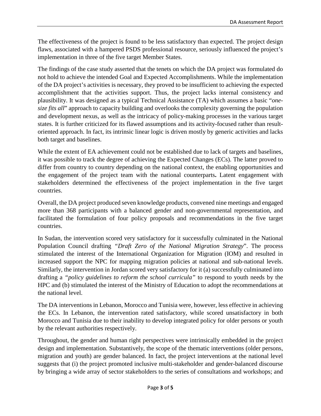The effectiveness of the project is found to be less satisfactory than expected. The project design flaws, associated with a hampered PSDS professional resource, seriously influenced the project's implementation in three of the five target Member States.

The findings of the case study asserted that the tenets on which the DA project was formulated do not hold to achieve the intended Goal and Expected Accomplishments. While the implementation of the DA project's activities is necessary, they proved to be insufficient to achieving the expected accomplishment that the activities support. Thus, the project lacks internal consistency and plausibility. It was designed as a typical Technical Assistance (TA) which assumes a basic "*onesize fits all*" approach to capacity building and overlooks the complexity governing the population and development nexus, as well as the intricacy of policy-making processes in the various target states. It is further criticized for its flawed assumptions and its activity-focused rather than resultoriented approach. In fact, its intrinsic linear logic is driven mostly by generic activities and lacks both target and baselines.

While the extent of EA achievement could not be established due to lack of targets and baselines, it was possible to track the degree of achieving the Expected Changes (ECs). The latter proved to differ from country to country depending on the national context, the enabling opportunities and the engagement of the project team with the national counterparts**.** Latent engagement with stakeholders determined the effectiveness of the project implementation in the five target countries.

Overall, the DA project produced seven knowledge products, convened nine meetings and engaged more than 368 participants with a balanced gender and non-governmental representation, and facilitated the formulation of four policy proposals and recommendations in the five target countries.

In Sudan, the intervention scored very satisfactory for it successfully culminated in the National Population Council drafting *"Draft Zero of the National Migration Strategy*". The process stimulated the interest of the International Organization for Migration (IOM) and resulted in increased support the NPC for mapping migration policies at national and sub-national levels. Similarly, the intervention in Jordan scored very satisfactory for it (a) successfully culminated into drafting a *"policy guidelines to reform the school curricula"* to respond to youth needs by the HPC and (b) stimulated the interest of the Ministry of Education to adopt the recommendations at the national level.

The DA interventions in Lebanon, Morocco and Tunisia were, however, less effective in achieving the ECs. In Lebanon, the intervention rated satisfactory, while scored unsatisfactory in both Morocco and Tunisia due to their inability to develop integrated policy for older persons or youth by the relevant authorities respectively.

Throughout, the gender and human right perspectives were intrinsically embedded in the project design and implementation. Substantively, the scope of the thematic interventions (older persons, migration and youth) are gender balanced. In fact, the project interventions at the national level suggests that (i) the project promoted inclusive multi-stakeholder and gender-balanced discourse by bringing a wide array of sector stakeholders to the series of consultations and workshops; and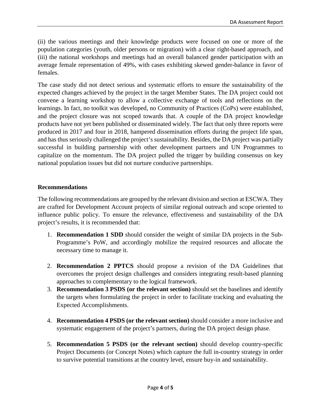(ii) the various meetings and their knowledge products were focused on one or more of the population categories (youth, older persons or migration) with a clear right-based approach, and (iii) the national workshops and meetings had an overall balanced gender participation with an average female representation of 49%, with cases exhibiting skewed gender-balance in favor of females.

The case study did not detect serious and systematic efforts to ensure the sustainability of the expected changes achieved by the project in the target Member States. The DA project could not convene a learning workshop to allow a collective exchange of tools and reflections on the learnings. In fact, no toolkit was developed, no Community of Practices (CoPs) were established, and the project closure was not scoped towards that. A couple of the DA project knowledge products have not yet been published or disseminated widely. The fact that only three reports were produced in 2017 and four in 2018, hampered dissemination efforts during the project life span, and has thus seriously challenged the project's sustainability. Besides, the DA project was partially successful in building partnership with other development partners and UN Programmes to capitalize on the momentum. The DA project pulled the trigger by building consensus on key national population issues but did not nurture conducive partnerships.

## **Recommendations**

The following recommendations are grouped by the relevant division and section at ESCWA. They are crafted for Development Account projects of similar regional outreach and scope oriented to influence public policy. To ensure the relevance, effectiveness and sustainability of the DA project's results, it is recommended that:

- 1. **Recommendation 1 SDD** should consider the weight of similar DA projects in the Sub-Programme's PoW, and accordingly mobilize the required resources and allocate the necessary time to manage it.
- 2. **Recommendation 2 PPTCS** should propose a revision of the DA Guidelines that overcomes the project design challenges and considers integrating result-based planning approaches to complementary to the logical framework.
- 3. **Recommendation 3 PSDS (or the relevant section)** should set the baselines and identify the targets when formulating the project in order to facilitate tracking and evaluating the Expected Accomplishments.
- 4. **Recommendation 4 PSDS (or the relevant section)** should consider a more inclusive and systematic engagement of the project's partners, during the DA project design phase.
- 5. **Recommendation 5 PSDS (or the relevant section)** should develop country-specific Project Documents (or Concept Notes) which capture the full in-country strategy in order to survive potential transitions at the country level, ensure buy-in and sustainability.